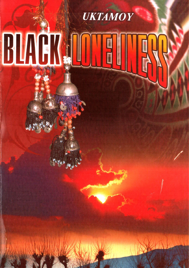# UKTAMOY BLACK.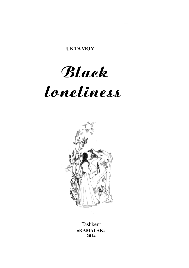**UKTAMOY** 

## Black

# loneliness



«KAMALAK» 2014 Tashkent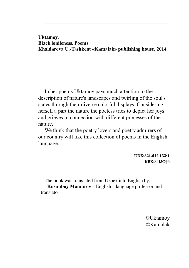Uktamoy. Black lonileness. Poems Khaldarova U.-Tashkent «Kamalak» publishing house, 2014

In her poems Uktamoy pays much attention to the description of nature's landscapes and twirling of the soul's states through their diverse colorful displays. Considering herself a part the nature the poetess tries to depict her joys and grieves in connection with different processes of the nature.

We think that the poetry lovers and poetry admirers of our country will like this collection of poems in the English language.

> UDK:821.512.133-1 КBК:84(5O' )6

The book was translated from Uzbek into English by:

Kosimboy Mamurov – English language professor and translator

> ©Uktamoy ©Kamalak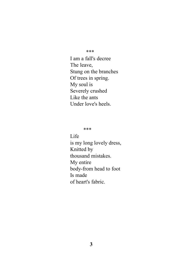\*\*\*

I am a fall's decree The leave, Stung on the branches Of trees in spring. My soul is Severely crushed Like the ants Under love's heels.

\*\*\*

Life

is my long lovely dress, Knitted by thousand mistakes. My entire body-from head to foot Is made of heart's fabric.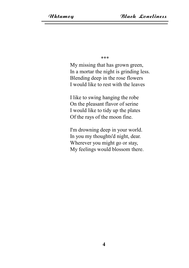\*\*\*

My missing that has grown green, In a mortar the night is grinding less. Blending deep in the rose flowers I would like to rest with the leaves

I like to swing hanging the robe On the pleasant flavor of serine I would like to tidy up the plates Of the rays of the moon fine.

I'm drowning deep in your world. In you my thoughts'd night, dear. Wherever you might go or stay, My feelings would blossom there.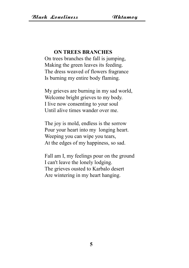### ON TREES BRANCHES

On trees branches the fall is jumping, Making the green leaves its feeding. The dress weaved of flowers fragrance Is burning my entire body flaming.

My grieves are burning in my sad world, Welcome bright grieves to my body. I live now consenting to your soul Until alive times wander over me.

The joy is mold, endless is the sorrow Pour your heart into my longing heart. Weeping you can wipe you tears, At the edges of my happiness, so sad.

Fall am I, my feelings pour on the ground I can't leave the lonely lodging. The grieves ousted to Karbalo desert Are wintering in my heart hanging.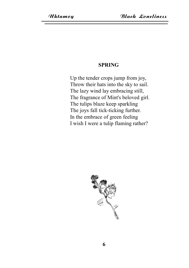### SPRING

Up the tender crops jump from joy, Throw their hats into the sky to sail. The lazy wind lay embracing still, The fragrance of Mint's beloved girl. The tulips blaze keep sparkling The joys fall tick-ticking further. In the embrace of green feeling I wish I were a tulip flaming rather?

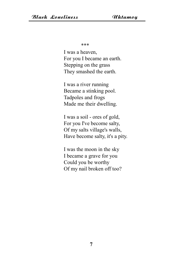\*\*\*

I was a heaven, For you I became an earth. Stepping on the grass They smashed the earth.

I was a river running Became a stinking pool. Tadpoles and frogs Made me their dwelling.

I was a soil - ores of gold, For you I've become salty, Of my salts village's walls, Have become salty, it's a pity.

I was the moon in the sky I became a grave for you Could you be worthy Of my nail broken off too?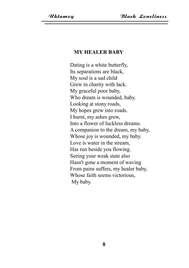### MY HEALER BABY

Dating is a white butterfly, Its separations are black, My soul is a sad child Grew in charity with lack. My graceful poor baby, Who dream is wounded, baby. Looking at stony roads, My hopes grew into roads. I burnt, my ashes grew, Into a flower of luckless dreams. A companion to the dream, my baby, Whose joy is wounded, my baby. Love is water in the stream, Has run beside you flowing. Seeing your weak state also Hasn't gone a moment of waving From pains suffers, my healer baby, Whose faith seems victorious, My baby.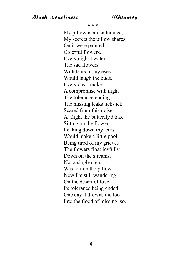\* \* \*

My pillow is an endurance, My secrets the pillow shares, On it were painted Colorful flowers, Every night I water The sad flowers With tears of my eyes Would laugh the buds. Every day I make A compromise with night The tolerance ending The missing leaks tick-tick. Scared from this noise A flight the butterfly'd take Sitting on the flower Leaking down my tears, Would make a little pool. Being tired of my grieves The flowers float joyfully Down on the streams. Not a single sign, Was left on the pillow. Now I'm still wandering On the desert of love, Its tolerance being ended One day it drowns me too Into the flood of missing, so.